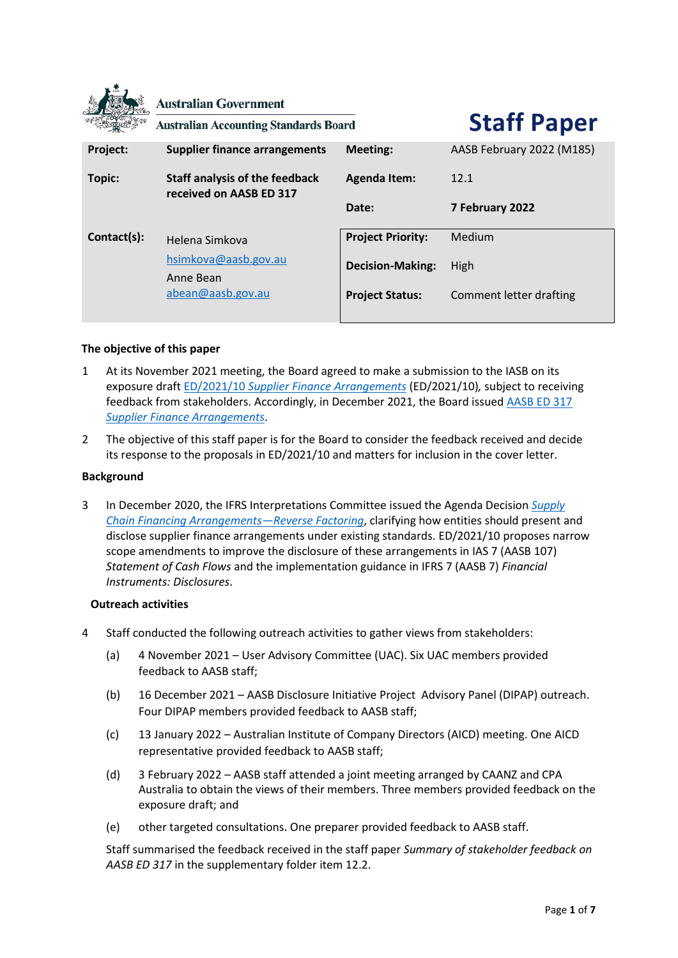|             | <b>Australian Government</b><br><b>Australian Accounting Standards Board</b> |                          | <b>Staff Paper</b>        |
|-------------|------------------------------------------------------------------------------|--------------------------|---------------------------|
| Project:    | <b>Supplier finance arrangements</b>                                         | <b>Meeting:</b>          | AASB February 2022 (M185) |
| Topic:      | <b>Staff analysis of the feedback</b><br>received on AASB ED 317             | <b>Agenda Item:</b>      | 12.1                      |
|             |                                                                              | Date:                    | 7 February 2022           |
| Contact(s): | Helena Simkova                                                               | <b>Project Priority:</b> | Medium                    |
|             | hsimkova@aasb.gov.au<br>Anne Bean                                            | <b>Decision-Making:</b>  | High                      |
|             | abean@aasb.gov.au                                                            | <b>Project Status:</b>   | Comment letter drafting   |

# **The objective of this paper**

- 1 At its November 2021 meeting, the Board agreed to make a submission to the IASB on its exposure draft ED/2021/10 *[Supplier Finance Arrangements](https://www.ifrs.org/content/dam/ifrs/project/supplier-finance-arrangements/ed-2021-10-sfa.pdf)* (ED/2021/10)*,* subject to receiving feedback from stakeholders. Accordingly, in December 2021, the Board issued [AASB ED 317](https://aasb.gov.au/admin/file/content105/c9/ACCED317_12-21.pdf)  *[Supplier Finance Arrangements](https://aasb.gov.au/admin/file/content105/c9/ACCED317_12-21.pdf)*.
- 2 The objective of this staff paper is for the Board to consider the feedback received and decide its response to the proposals in ED/2021/10 and matters for inclusion in the cover letter.

#### **Background**

3 In December 2020, the IFRS Interpretations Committee issued the Agenda Decision *[Supply](https://www.ifrs.org/content/dam/ifrs/supporting-implementation/agenda-decisions/2020/supply-chain-financing-arrangements-reverse-factoring-december-2020.pdf)  Chain [Financing Arrangements](https://www.ifrs.org/content/dam/ifrs/supporting-implementation/agenda-decisions/2020/supply-chain-financing-arrangements-reverse-factoring-december-2020.pdf)—Reverse Factoring*, clarifying how entities should present and disclose supplier finance arrangements under existing standards. ED/2021/10 proposes narrow scope amendments to improve the disclosure of these arrangements in IAS 7 (AASB 107) *Statement of Cash Flows* and the implementation guidance in IFRS 7 (AASB 7) *Financial Instruments: Disclosures*.

## **Outreach activities**

- 4 Staff conducted the following outreach activities to gather views from stakeholders:
	- (a) 4 November 2021 User Advisory Committee (UAC). Six UAC members provided feedback to AASB staff;
	- (b) 16 December 2021 AASB Disclosure Initiative Project Advisory Panel (DIPAP) outreach. Four DIPAP members provided feedback to AASB staff;
	- (c) 13 January 2022 Australian Institute of Company Directors (AICD) meeting. One AICD representative provided feedback to AASB staff;
	- (d) 3 February 2022 AASB staff attended a joint meeting arranged by CAANZ and CPA Australia to obtain the views of their members. Three members provided feedback on the exposure draft; and
	- (e) other targeted consultations. One preparer provided feedback to AASB staff.

Staff summarised the feedback received in the staff paper *Summary of stakeholder feedback on AASB ED 317* in the supplementary folder item 12.2.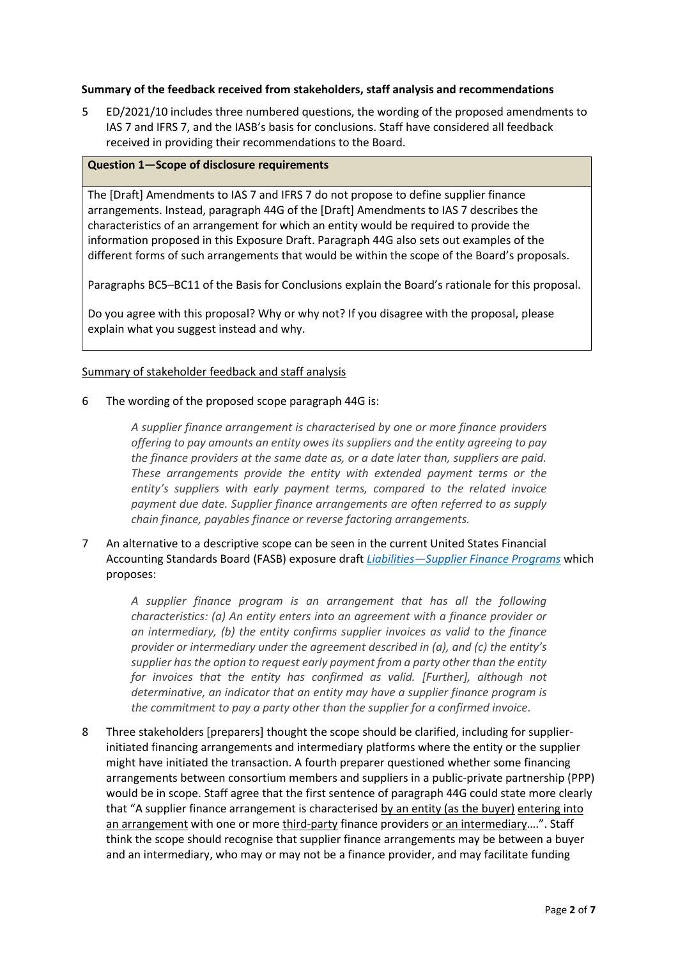### **Summary of the feedback received from stakeholders, staff analysis and recommendations**

5 ED/2021/10 includes three numbered questions, the wording of the proposed amendments to IAS 7 and IFRS 7, and the IASB's basis for conclusions. Staff have considered all feedback received in providing their recommendations to the Board.

#### **Question 1—Scope of disclosure requirements**

The [Draft] Amendments to IAS 7 and IFRS 7 do not propose to define supplier finance arrangements. Instead, paragraph 44G of the [Draft] Amendments to IAS 7 describes the characteristics of an arrangement for which an entity would be required to provide the information proposed in this Exposure Draft. Paragraph 44G also sets out examples of the different forms of such arrangements that would be within the scope of the Board's proposals.

Paragraphs BC5–BC11 of the Basis for Conclusions explain the Board's rationale for this proposal.

Do you agree with this proposal? Why or why not? If you disagree with the proposal, please explain what you suggest instead and why.

#### Summary of stakeholder feedback and staff analysis

6 The wording of the proposed scope paragraph 44G is:

*A supplier finance arrangement is characterised by one or more finance providers offering to pay amounts an entity owes its suppliers and the entity agreeing to pay the finance providers at the same date as, or a date later than, suppliers are paid. These arrangements provide the entity with extended payment terms or the entity's suppliers with early payment terms, compared to the related invoice payment due date. Supplier finance arrangements are often referred to as supply chain finance, payables finance or reverse factoring arrangements.*

7 An alternative to a descriptive scope can be seen in the current United States Financial Accounting Standards Board (FASB) exposure draft *Liabilities—[Supplier Finance Programs](https://www.fasb.org/jsp/FASB/Document_C/DocumentPage?cid=1176179161221&acceptedDisclaimer=true)* which proposes:

*A supplier finance program is an arrangement that has all the following characteristics: (a) An entity enters into an agreement with a finance provider or an intermediary, (b) the entity confirms supplier invoices as valid to the finance provider or intermediary under the agreement described in (a), and (c) the entity's supplier has the option to request early payment from a party other than the entity for invoices that the entity has confirmed as valid. [Further], although not determinative, an indicator that an entity may have a supplier finance program is the commitment to pay a party other than the supplier for a confirmed invoice.*

8 Three stakeholders [preparers] thought the scope should be clarified, including for supplierinitiated financing arrangements and intermediary platforms where the entity or the supplier might have initiated the transaction. A fourth preparer questioned whether some financing arrangements between consortium members and suppliers in a public-private partnership (PPP) would be in scope. Staff agree that the first sentence of paragraph 44G could state more clearly that "A supplier finance arrangement is characterised by an entity (as the buyer) entering into an arrangement with one or more third-party finance providers or an intermediary....". Staff think the scope should recognise that supplier finance arrangements may be between a buyer and an intermediary, who may or may not be a finance provider, and may facilitate funding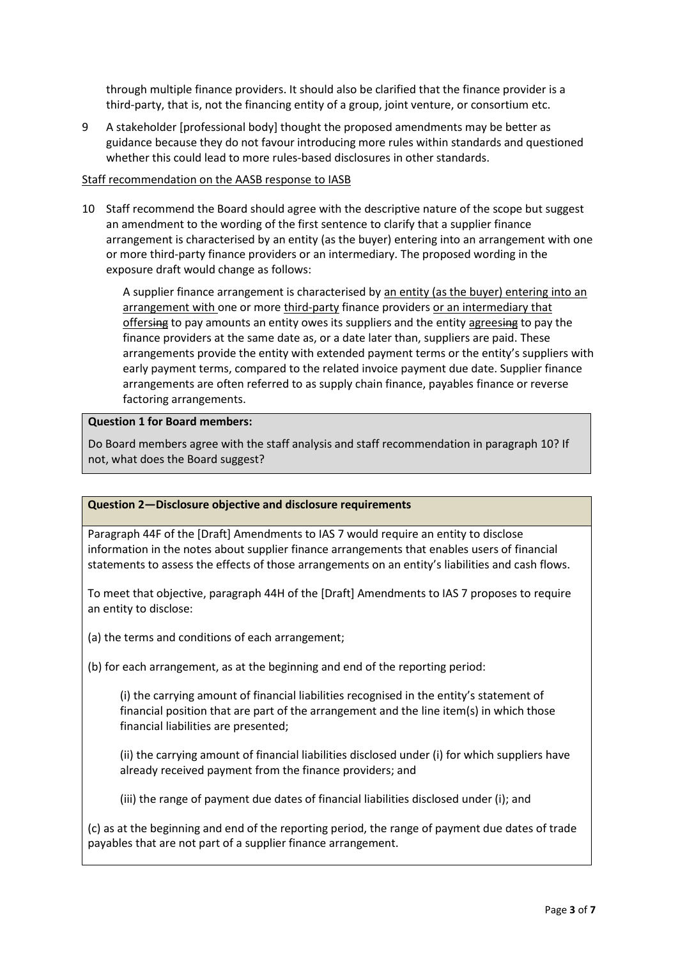through multiple finance providers. It should also be clarified that the finance provider is a third-party, that is, not the financing entity of a group, joint venture, or consortium etc.

9 A stakeholder [professional body] thought the proposed amendments may be better as guidance because they do not favour introducing more rules within standards and questioned whether this could lead to more rules-based disclosures in other standards.

### Staff recommendation on the AASB response to IASB

10 Staff recommend the Board should agree with the descriptive nature of the scope but suggest an amendment to the wording of the first sentence to clarify that a supplier finance arrangement is characterised by an entity (as the buyer) entering into an arrangement with one or more third-party finance providers or an intermediary. The proposed wording in the exposure draft would change as follows:

A supplier finance arrangement is characterised by an entity (as the buyer) entering into an arrangement with one or more third-party finance providers or an intermediary that offersing to pay amounts an entity owes its suppliers and the entity agreesing to pay the finance providers at the same date as, or a date later than, suppliers are paid. These arrangements provide the entity with extended payment terms or the entity's suppliers with early payment terms, compared to the related invoice payment due date. Supplier finance arrangements are often referred to as supply chain finance, payables finance or reverse factoring arrangements.

#### **Question 1 for Board members:**

Do Board members agree with the staff analysis and staff recommendation in paragraph 10? If not, what does the Board suggest?

## **Question 2—Disclosure objective and disclosure requirements**

Paragraph 44F of the [Draft] Amendments to IAS 7 would require an entity to disclose information in the notes about supplier finance arrangements that enables users of financial statements to assess the effects of those arrangements on an entity's liabilities and cash flows.

To meet that objective, paragraph 44H of the [Draft] Amendments to IAS 7 proposes to require an entity to disclose:

(a) the terms and conditions of each arrangement;

(b) for each arrangement, as at the beginning and end of the reporting period:

(i) the carrying amount of financial liabilities recognised in the entity's statement of financial position that are part of the arrangement and the line item(s) in which those financial liabilities are presented;

(ii) the carrying amount of financial liabilities disclosed under (i) for which suppliers have already received payment from the finance providers; and

(iii) the range of payment due dates of financial liabilities disclosed under (i); and

(c) as at the beginning and end of the reporting period, the range of payment due dates of trade payables that are not part of a supplier finance arrangement.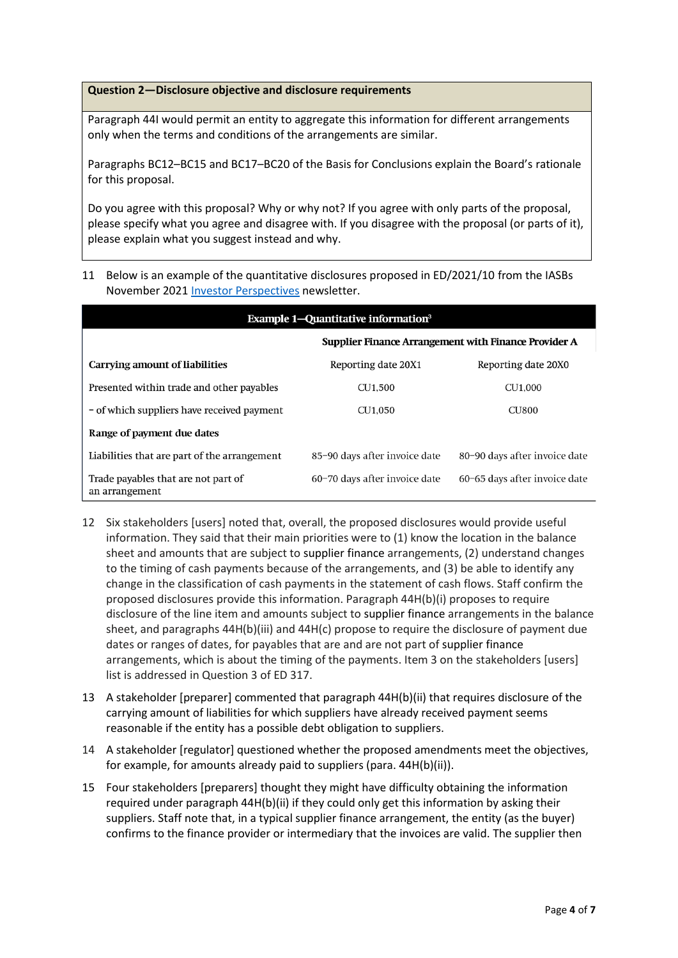**Question 2—Disclosure objective and disclosure requirements**

Paragraph 44I would permit an entity to aggregate this information for different arrangements only when the terms and conditions of the arrangements are similar.

Paragraphs BC12–BC15 and BC17–BC20 of the Basis for Conclusions explain the Board's rationale for this proposal.

Do you agree with this proposal? Why or why not? If you agree with only parts of the proposal, please specify what you agree and disagree with. If you disagree with the proposal (or parts of it), please explain what you suggest instead and why.

11 Below is an example of the quantitative disclosures proposed in ED/2021/10 from the IASBs November 202[1 Investor Perspectives](https://www.ifrs.org/content/dam/ifrs/project/supplier-finance-arrangements/investorperspectives-sfa-nov2021.pdf) newsletter.

| <b>Example 1-Quantitative information</b> <sup>3</sup> |                               |                               |  |  |
|--------------------------------------------------------|-------------------------------|-------------------------------|--|--|
| Supplier Finance Arrangement with Finance Provider A   |                               |                               |  |  |
| Carrying amount of liabilities                         | Reporting date 20X1           | Reporting date 20X0           |  |  |
| Presented within trade and other payables              | CU1.500                       | CU1,000                       |  |  |
| - of which suppliers have received payment             | CU1.050                       | <b>CU800</b>                  |  |  |
| Range of payment due dates                             |                               |                               |  |  |
| Liabilities that are part of the arrangement           | 85-90 days after invoice date | 80-90 days after invoice date |  |  |
| Trade payables that are not part of<br>an arrangement  | 60-70 days after invoice date | 60-65 days after invoice date |  |  |

- 12 Six stakeholders [users] noted that, overall, the proposed disclosures would provide useful information. They said that their main priorities were to (1) know the location in the balance sheet and amounts that are subject to supplier finance arrangements, (2) understand changes to the timing of cash payments because of the arrangements, and (3) be able to identify any change in the classification of cash payments in the statement of cash flows. Staff confirm the proposed disclosures provide this information. Paragraph 44H(b)(i) proposes to require disclosure of the line item and amounts subject to supplier finance arrangements in the balance sheet, and paragraphs 44H(b)(iii) and 44H(c) propose to require the disclosure of payment due dates or ranges of dates, for payables that are and are not part of supplier finance arrangements, which is about the timing of the payments. Item 3 on the stakeholders [users] list is addressed in Question 3 of ED 317.
- 13 A stakeholder [preparer] commented that paragraph 44H(b)(ii) that requires disclosure of the carrying amount of liabilities for which suppliers have already received payment seems reasonable if the entity has a possible debt obligation to suppliers.
- 14 A stakeholder [regulator] questioned whether the proposed amendments meet the objectives, for example, for amounts already paid to suppliers (para. 44H(b)(ii)).
- 15 Four stakeholders [preparers] thought they might have difficulty obtaining the information required under paragraph 44H(b)(ii) if they could only get this information by asking their suppliers. Staff note that, in a typical supplier finance arrangement, the entity (as the buyer) confirms to the finance provider or intermediary that the invoices are valid. The supplier then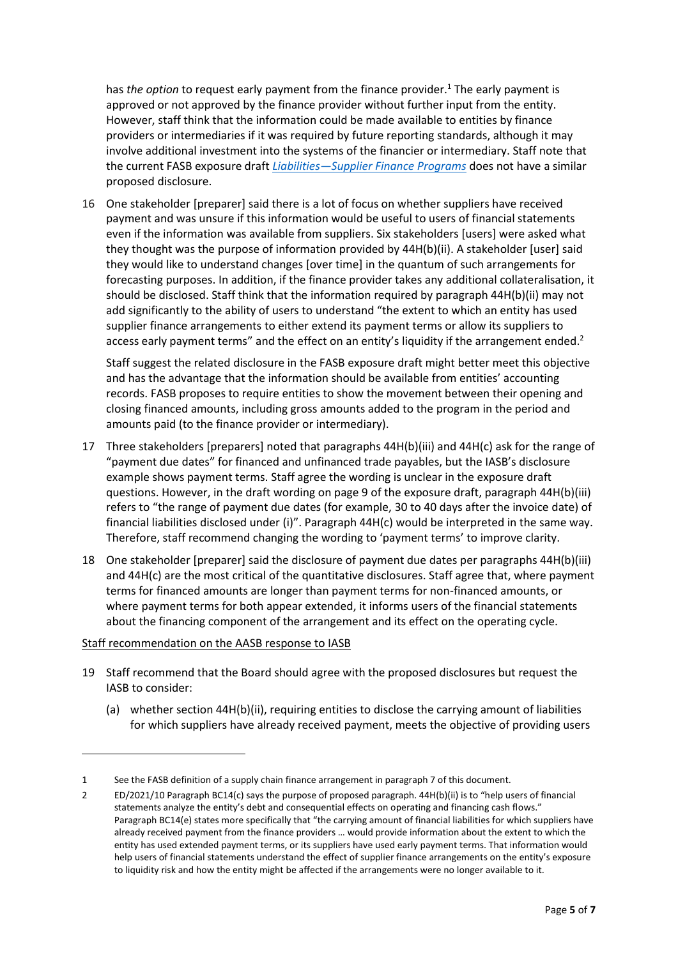has *the option* to request early payment from the finance provider.<sup>1</sup> The early payment is approved or not approved by the finance provider without further input from the entity. However, staff think that the information could be made available to entities by finance providers or intermediaries if it was required by future reporting standards, although it may involve additional investment into the systems of the financier or intermediary. Staff note that the current FASB exposure draft *Liabilities—[Supplier Finance Programs](https://www.fasb.org/jsp/FASB/Document_C/DocumentPage?cid=1176179161221&acceptedDisclaimer=true)* does not have a similar proposed disclosure.

16 One stakeholder [preparer] said there is a lot of focus on whether suppliers have received payment and was unsure if this information would be useful to users of financial statements even if the information was available from suppliers. Six stakeholders [users] were asked what they thought was the purpose of information provided by 44H(b)(ii). A stakeholder [user] said they would like to understand changes [over time] in the quantum of such arrangements for forecasting purposes. In addition, if the finance provider takes any additional collateralisation, it should be disclosed. Staff think that the information required by paragraph 44H(b)(ii) may not add significantly to the ability of users to understand "the extent to which an entity has used supplier finance arrangements to either extend its payment terms or allow its suppliers to access early payment terms" and the effect on an entity's liquidity if the arrangement ended.<sup>2</sup>

Staff suggest the related disclosure in the FASB exposure draft might better meet this objective and has the advantage that the information should be available from entities' accounting records. FASB proposes to require entities to show the movement between their opening and closing financed amounts, including gross amounts added to the program in the period and amounts paid (to the finance provider or intermediary).

- 17 Three stakeholders [preparers] noted that paragraphs 44H(b)(iii) and 44H(c) ask for the range of "payment due dates" for financed and unfinanced trade payables, but the IASB's disclosure example shows payment terms. Staff agree the wording is unclear in the exposure draft questions. However, in the draft wording on page 9 of the exposure draft, paragraph 44H(b)(iii) refers to "the range of payment due dates (for example, 30 to 40 days after the invoice date) of financial liabilities disclosed under (i)". Paragraph 44H(c) would be interpreted in the same way. Therefore, staff recommend changing the wording to 'payment terms' to improve clarity.
- 18 One stakeholder [preparer] said the disclosure of payment due dates per paragraphs 44H(b)(iii) and 44H(c) are the most critical of the quantitative disclosures. Staff agree that, where payment terms for financed amounts are longer than payment terms for non-financed amounts, or where payment terms for both appear extended, it informs users of the financial statements about the financing component of the arrangement and its effect on the operating cycle.

## Staff recommendation on the AASB response to IASB

- 19 Staff recommend that the Board should agree with the proposed disclosures but request the IASB to consider:
	- (a) whether section 44H(b)(ii), requiring entities to disclose the carrying amount of liabilities for which suppliers have already received payment, meets the objective of providing users

<sup>1</sup> See the FASB definition of a supply chain finance arrangement in paragraph 7 of this document.

<sup>2</sup> ED/2021/10 Paragraph BC14(c) says the purpose of proposed paragraph. 44H(b)(ii) is to "help users of financial statements analyze the entity's debt and consequential effects on operating and financing cash flows." Paragraph BC14(e) states more specifically that "the carrying amount of financial liabilities for which suppliers have already received payment from the finance providers … would provide information about the extent to which the entity has used extended payment terms, or its suppliers have used early payment terms. That information would help users of financial statements understand the effect of supplier finance arrangements on the entity's exposure to liquidity risk and how the entity might be affected if the arrangements were no longer available to it.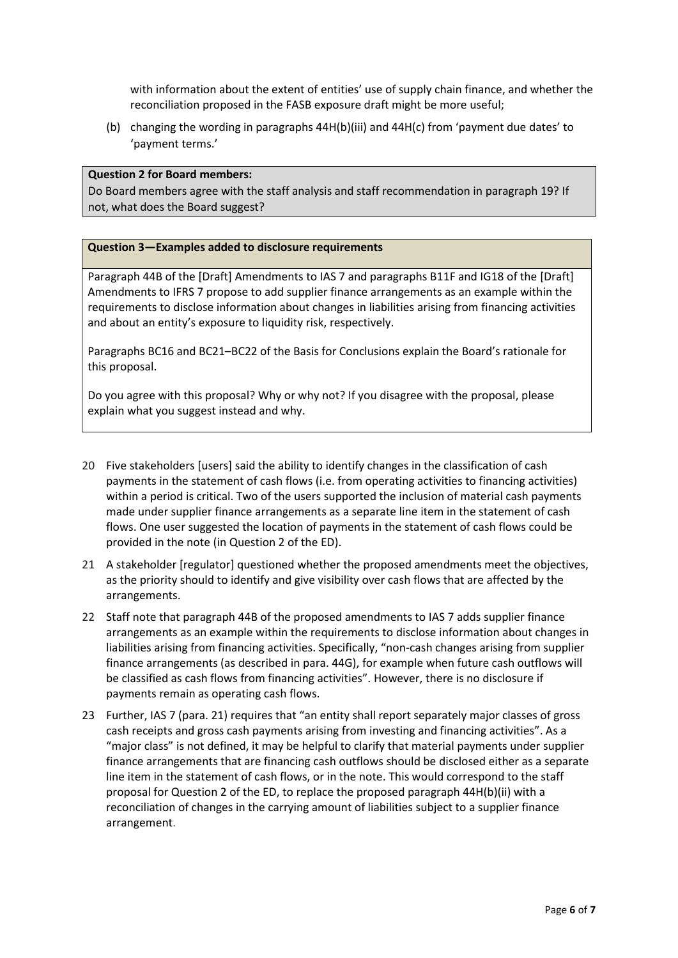with information about the extent of entities' use of supply chain finance, and whether the reconciliation proposed in the FASB exposure draft might be more useful;

(b) changing the wording in paragraphs 44H(b)(iii) and 44H(c) from 'payment due dates' to 'payment terms.'

#### **Question 2 for Board members:**

Do Board members agree with the staff analysis and staff recommendation in paragraph 19? If not, what does the Board suggest?

#### **Question 3—Examples added to disclosure requirements**

Paragraph 44B of the [Draft] Amendments to IAS 7 and paragraphs B11F and IG18 of the [Draft] Amendments to IFRS 7 propose to add supplier finance arrangements as an example within the requirements to disclose information about changes in liabilities arising from financing activities and about an entity's exposure to liquidity risk, respectively.

Paragraphs BC16 and BC21–BC22 of the Basis for Conclusions explain the Board's rationale for this proposal.

Do you agree with this proposal? Why or why not? If you disagree with the proposal, please explain what you suggest instead and why.

- 20 Five stakeholders [users] said the ability to identify changes in the classification of cash payments in the statement of cash flows (i.e. from operating activities to financing activities) within a period is critical. Two of the users supported the inclusion of material cash payments made under supplier finance arrangements as a separate line item in the statement of cash flows. One user suggested the location of payments in the statement of cash flows could be provided in the note (in Question 2 of the ED).
- 21 A stakeholder [regulator] questioned whether the proposed amendments meet the objectives, as the priority should to identify and give visibility over cash flows that are affected by the arrangements.
- 22 Staff note that paragraph 44B of the proposed amendments to IAS 7 adds supplier finance arrangements as an example within the requirements to disclose information about changes in liabilities arising from financing activities. Specifically, "non-cash changes arising from supplier finance arrangements (as described in para. 44G), for example when future cash outflows will be classified as cash flows from financing activities". However, there is no disclosure if payments remain as operating cash flows.
- 23 Further, IAS 7 (para. 21) requires that "an entity shall report separately major classes of gross cash receipts and gross cash payments arising from investing and financing activities". As a "major class" is not defined, it may be helpful to clarify that material payments under supplier finance arrangements that are financing cash outflows should be disclosed either as a separate line item in the statement of cash flows, or in the note. This would correspond to the staff proposal for Question 2 of the ED, to replace the proposed paragraph 44H(b)(ii) with a reconciliation of changes in the carrying amount of liabilities subject to a supplier finance arrangement.